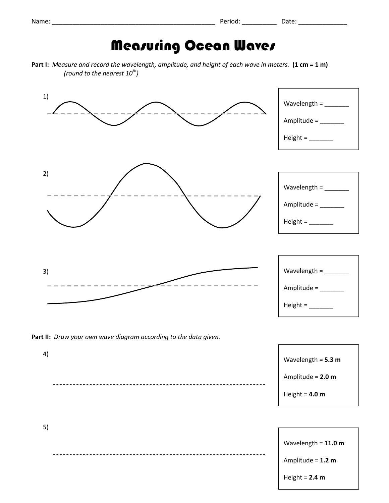## **Measuring Ocean Waves**

**Part I:** *Measure and record the wavelength, amplitude, and height of each wave in meters.* **(1 cm = 1 m)**  *(round to the nearest 10th )*



Height = **2.4 m**